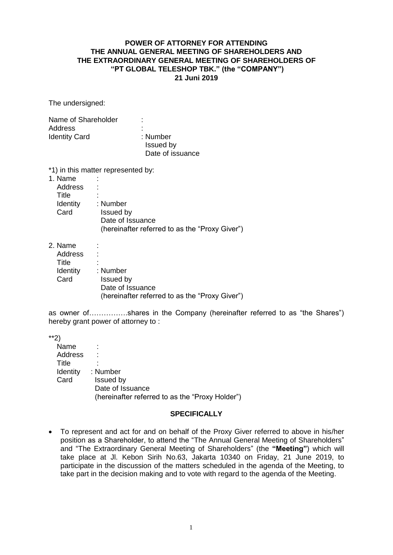## **POWER OF ATTORNEY FOR ATTENDING THE ANNUAL GENERAL MEETING OF SHAREHOLDERS AND THE EXTRAORDINARY GENERAL MEETING OF SHAREHOLDERS OF "PT GLOBAL TELESHOP TBK." (the "COMPANY") 21 Juni 2019**

The undersigned:

| Name of Shareholder  | ٠                |  |
|----------------------|------------------|--|
| Address              | ٠                |  |
| <b>Identity Card</b> | : Number         |  |
|                      | Issued by        |  |
|                      | Date of issuance |  |

\*1) in this matter represented by:

| : Number                                       |
|------------------------------------------------|
| Issued by                                      |
| Date of Issuance                               |
| (hereinafter referred to as the "Proxy Giver") |
|                                                |

2. Name :

| _        |                                                |
|----------|------------------------------------------------|
| Address  |                                                |
| Title    | ۰                                              |
| Identity | : Number                                       |
| Card     | Issued by                                      |
|          | Date of Issuance                               |
|          | (hereinafter referred to as the "Proxy Giver") |

as owner of…………….shares in the Company (hereinafter referred to as "the Shares") hereby grant power of attorney to :

\*\*2)

| Name           |                                                 |
|----------------|-------------------------------------------------|
| <b>Address</b> |                                                 |
| Title          |                                                 |
| Identity       | : Number                                        |
| Card           | Issued by                                       |
|                | Date of Issuance                                |
|                | (hereinafter referred to as the "Proxy Holder") |
|                |                                                 |

## **SPECIFICALLY**

 To represent and act for and on behalf of the Proxy Giver referred to above in his/her position as a Shareholder, to attend the "The Annual General Meeting of Shareholders" and "The Extraordinary General Meeting of Shareholders" (the **"Meeting"**) which will take place at Jl. Kebon Sirih No.63, Jakarta 10340 on Friday, 21 June 2019, to participate in the discussion of the matters scheduled in the agenda of the Meeting, to take part in the decision making and to vote with regard to the agenda of the Meeting.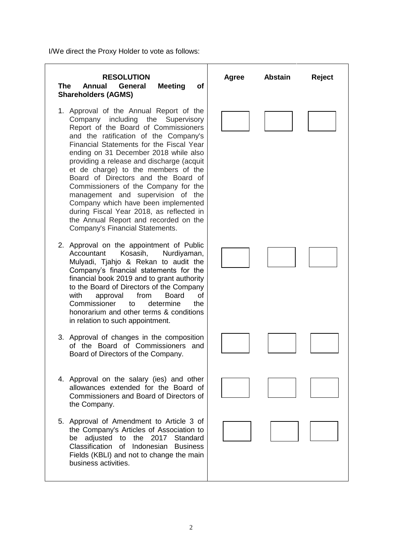I/We direct the Proxy Holder to vote as follows:

## **The Annual General Meeting of Shareholders (AGMS)**

- 1. Approval of the Annual Report of the Company including the Supervisory Report of the Board of Commissioners and the ratification of the Company's Financial Statements for the Fiscal Year ending on 31 December 2018 while also providing a release and discharge (acquit et de charge) to the members of the Board of Directors and the Board of Commissioners of the Company for the management and supervision of the Company which have been implemented during Fiscal Year 2018, as reflected in the Annual Report and recorded on the Company's Financial Statements.
- 2. Approval on the appointment of Public Accountant Kosasih, Nurdiyaman, Mulyadi, Tjahjo & Rekan to audit the Company's financial statements for the financial book 2019 and to grant authority to the Board of Directors of the Company with approval from Board of Commissioner to determine the honorarium and other terms & conditions in relation to such appointment.
- 3. Approval of changes in the composition of the Board of Commissioners and Board of Directors of the Company.
- 4. Approval on the salary (ies) and other allowances extended for the Board of Commissioners and Board of Directors of the Company.
- 5. Approval of Amendment to Article 3 of the Company's Articles of Association to be adjusted to the 2017 Standard Classification of Indonesian Business Fields (KBLI) and not to change the main business activities.